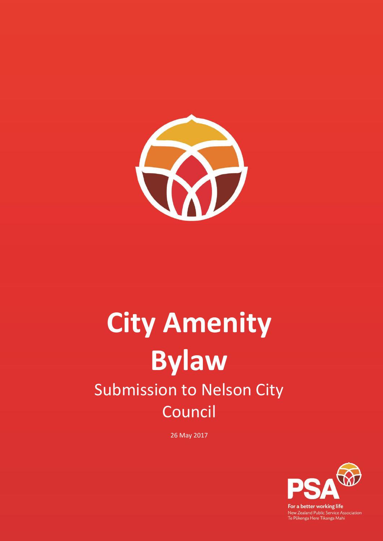

# **City Amenity Bylaw** Submission to Nelson City Council

26 May 2017



For a better working life New Zealand Public Service Association<br>Te Pükenga Here Tikanga Mahi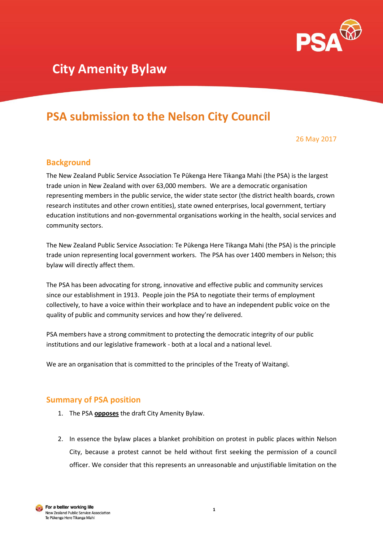

# **PSA submission to the Nelson City Council**

26 May 2017

# **Background**

The New Zealand Public Service Association Te Pūkenga Here Tikanga Mahi (the PSA) is the largest trade union in New Zealand with over 63,000 members. We are a democratic organisation representing members in the public service, the wider state sector (the district health boards, crown research institutes and other crown entities), state owned enterprises, local government, tertiary education institutions and non-governmental organisations working in the health, social services and community sectors.

The New Zealand Public Service Association: Te Pūkenga Here Tikanga Mahi (the PSA) is the principle trade union representing local government workers. The PSA has over 1400 members in Nelson; this bylaw will directly affect them.

The PSA has been advocating for strong, innovative and effective public and community services since our establishment in 1913. People join the PSA to negotiate their terms of employment collectively, to have a voice within their workplace and to have an independent public voice on the quality of public and community services and how they're delivered.

PSA members have a strong commitment to protecting the democratic integrity of our public institutions and our legislative framework - both at a local and a national level.

We are an organisation that is committed to the principles of the Treaty of Waitangi.

## **Summary of PSA position**

- 1. The PSA **opposes** the draft City Amenity Bylaw.
- 2. In essence the bylaw places a blanket prohibition on protest in public places within Nelson City, because a protest cannot be held without first seeking the permission of a council officer. We consider that this represents an unreasonable and unjustifiable limitation on the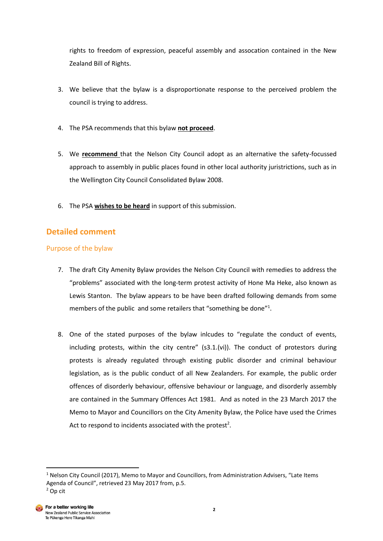rights to freedom of expression, peaceful assembly and assocation contained in the New Zealand Bill of Rights.

- 3. We believe that the bylaw is a disproportionate response to the perceived problem the council is trying to address.
- 4. The PSA recommends that this bylaw **not proceed**.
- 5. We **recommend** that the Nelson City Council adopt as an alternative the safety-focussed approach to assembly in public places found in other local authority juristrictions, such as in the Wellington City Council Consolidated Bylaw 2008.
- 6. The PSA **wishes to be heard** in support of this submission.

# **Detailed comment**

### Purpose of the bylaw

- 7. The draft City Amenity Bylaw provides the Nelson City Council with remedies to address the "problems" associated with the long-term protest activity of Hone Ma Heke, also known as Lewis Stanton. The bylaw appears to be have been drafted following demands from some members of the public and some retailers that "something be done"<sup>1</sup>.
- 8. One of the stated purposes of the bylaw inlcudes to "regulate the conduct of events, including protests, within the city centre"  $(s3.1.(vi))$ . The conduct of protestors during protests is already regulated through existing public disorder and criminal behaviour legislation, as is the public conduct of all New Zealanders. For example, the public order offences of disorderly behaviour, offensive behaviour or language, and disorderly assembly are contained in the Summary Offences Act 1981. And as noted in the 23 March 2017 the Memo to Mayor and Councillors on the City Amenity Bylaw, the Police have used the Crimes Act to respond to incidents associated with the protest<sup>2</sup>.

**.** 

 $1$  Nelson City Council (2017), Memo to Mayor and Councillors, from Administration Advisers, "Late Items Agenda of Council", retrieved 23 May 2017 from, p.5.

<sup>2</sup> Op cit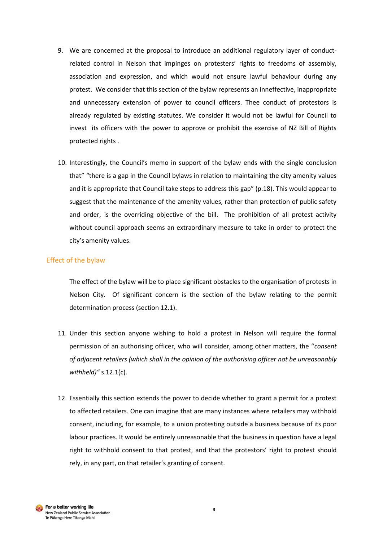- 9. We are concerned at the proposal to introduce an additional regulatory layer of conductrelated control in Nelson that impinges on protesters' rights to freedoms of assembly, association and expression, and which would not ensure lawful behaviour during any protest. We consider that this section of the bylaw represents an inneffective, inappropriate and unnecessary extension of power to council officers. Thee conduct of protestors is already regulated by existing statutes. We consider it would not be lawful for Council to invest its officers with the power to approve or prohibit the exercise of NZ Bill of Rights protected rights .
- 10. Interestingly, the Council's memo in support of the bylaw ends with the single conclusion that" "there is a gap in the Council bylaws in relation to maintaining the city amenity values and it is appropriate that Council take steps to address this gap" (p.18). This would appear to suggest that the maintenance of the amenity values, rather than protection of public safety and order, is the overriding objective of the bill. The prohibition of all protest activity without council approach seems an extraordinary measure to take in order to protect the city's amenity values.

#### Effect of the bylaw

The effect of the bylaw will be to place significant obstacles to the organisation of protests in Nelson City. Of significant concern is the section of the bylaw relating to the permit determination process (section 12.1).

- 11. Under this section anyone wishing to hold a protest in Nelson will require the formal permission of an authorising officer, who will consider, among other matters, the "*consent of adjacent retailers (which shall in the opinion of the authorising officer not be unreasonably withheld)"* s.12.1(c).
- 12. Essentially this section extends the power to decide whether to grant a permit for a protest to affected retailers. One can imagine that are many instances where retailers may withhold consent, including, for example, to a union protesting outside a business because of its poor labour practices. It would be entirely unreasonable that the business in question have a legal right to withhold consent to that protest, and that the protestors' right to protest should rely, in any part, on that retailer's granting of consent.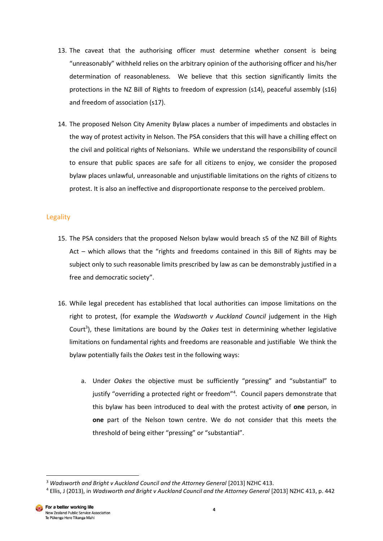- 13. The caveat that the authorising officer must determine whether consent is being "unreasonably" withheld relies on the arbitrary opinion of the authorising officer and his/her determination of reasonableness. We believe that this section significantly limits the protections in the NZ Bill of Rights to freedom of expression (s14), peaceful assembly (s16) and freedom of association (s17).
- 14. The proposed Nelson City Amenity Bylaw places a number of impediments and obstacles in the way of protest activity in Nelson. The PSA considers that this will have a chilling effect on the civil and political rights of Nelsonians. While we understand the responsibility of council to ensure that public spaces are safe for all citizens to enjoy, we consider the proposed bylaw places unlawful, unreasonable and unjustifiable limitations on the rights of citizens to protest. It is also an ineffective and disproportionate response to the perceived problem.

#### Legality

- 15. The PSA considers that the proposed Nelson bylaw would breach s5 of the NZ Bill of Rights Act – which allows that the "rights and freedoms contained in this Bill of Rights may be subject only to such reasonable limits prescribed by law as can be demonstrably justified in a free and democratic society".
- 16. While legal precedent has established that local authorities can impose limitations on the right to protest, (for example the *Wadsworth v Auckland Council* judgement in the High Court<sup>3</sup>), these limitations are bound by the Oakes test in determining whether legislative limitations on fundamental rights and freedoms are reasonable and justifiable We think the bylaw potentially fails the *Oakes* test in the following ways:
	- a. Under *Oakes* the objective must be sufficiently "pressing" and "substantial" to justify "overriding a protected right or freedom"<sup>4</sup>. Council papers demonstrate that this bylaw has been introduced to deal with the protest activity of **one** person, in **one** part of the Nelson town centre. We do not consider that this meets the threshold of being either "pressing" or "substantial".

<sup>1</sup> <sup>3</sup> Wadsworth and Bright v Auckland Council and the Attorney General [2013] NZHC 413.

<sup>4</sup> Ellis, J (2013), in *Wadsworth and Bright v Auckland Council and the Attorney General* [2013] NZHC 413, p. 442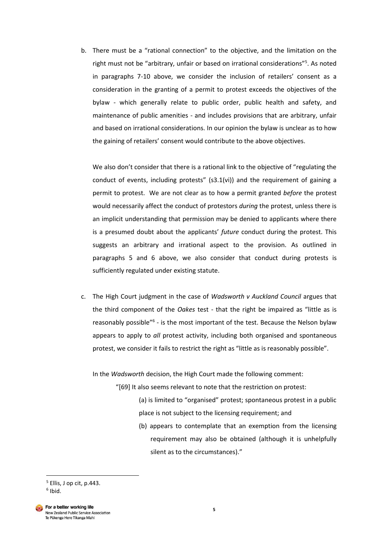b. There must be a "rational connection" to the objective, and the limitation on the right must not be "arbitrary, unfair or based on irrational considerations"<sup>5</sup>. As noted in paragraphs 7-10 above, we consider the inclusion of retailers' consent as a consideration in the granting of a permit to protest exceeds the objectives of the bylaw - which generally relate to public order, public health and safety, and maintenance of public amenities - and includes provisions that are arbitrary, unfair and based on irrational considerations. In our opinion the bylaw is unclear as to how the gaining of retailers' consent would contribute to the above objectives.

We also don't consider that there is a rational link to the objective of "regulating the conduct of events, including protests" (s3.1(vi)) and the requirement of gaining a permit to protest. We are not clear as to how a permit granted *before* the protest would necessarily affect the conduct of protestors *during* the protest, unless there is an implicit understanding that permission may be denied to applicants where there is a presumed doubt about the applicants' *future* conduct during the protest. This suggests an arbitrary and irrational aspect to the provision. As outlined in paragraphs 5 and 6 above, we also consider that conduct during protests is sufficiently regulated under existing statute.

c. The High Court judgment in the case of *Wadsworth v Auckland Council* argues that the third component of the *Oakes* test - that the right be impaired as "little as is reasonably possible<sup>"6</sup> - is the most important of the test. Because the Nelson bylaw appears to apply to *all* protest activity, including both organised and spontaneous protest, we consider it fails to restrict the right as "little as is reasonably possible".

In the *Wadsworth* decision, the High Court made the following comment:

"[69] It also seems relevant to note that the restriction on protest:

- (a) is limited to "organised" protest; spontaneous protest in a public place is not subject to the licensing requirement; and
- (b) appears to contemplate that an exemption from the licensing requirement may also be obtained (although it is unhelpfully silent as to the circumstances)."

1

<sup>5</sup> Ellis, J op cit, p.443. 6 Ibid.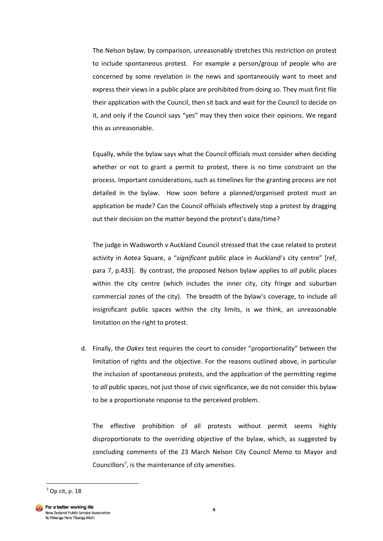The Nelson bylaw, by comparison, unreasonably stretches this restriction on protest to include spontaneous protest. For example a person/group of people who are concerned by some revelation in the news and spontaneously want to meet and express their views in a public place are prohibited from doing so. They must first file their application with the Council, then sit back and wait for the Council to decide on it, and only if the Council says "yes" may they then voice their opinions. We regard this as unreasonable.

Equally, while the bylaw says what the Council officials must consider when deciding whether or not to grant a permit to protest, there is no time constraint on the process. Important considerations, such as timelines for the granting process are not detailed in the bylaw. How soon before a planned/organised protest must an application be made? Can the Council officials effectively stop a protest by dragging out their decision on the matter beyond the protest's date/time?

The judge in Wadsworth v Auckland Council stressed that the case related to protest activity in Aotea Square, a "*significant* public place in Auckland's city centre" [ref, para 7, p.433]. By contrast, the proposed Nelson bylaw applies to *all* public places within the city centre (which includes the inner city, city fringe and suburban commercial zones of the city). The breadth of the bylaw's coverage, to include all insignificant public spaces within the city limits, is we think, an unreasonable limitation on the right to protest.

d. Finally, the *Oakes* test requires the court to consider "proportionality" between the limitation of rights and the objective. For the reasons outlined above, in particular the inclusion of spontaneous protests, and the application of the permitting regime to *all* public spaces, not just those of civic significance, we do not consider this bylaw to be a proportionate response to the perceived problem.

The effective prohibition of all protests without permit seems highly disproportionate to the overriding objective of the bylaw, which, as suggested by concluding comments of the 23 March Nelson City Council Memo to Mayor and Councillors<sup>7</sup>, is the maintenance of city amenities.

**.** 

 $<sup>7</sup>$  Op cit, p. 18</sup>